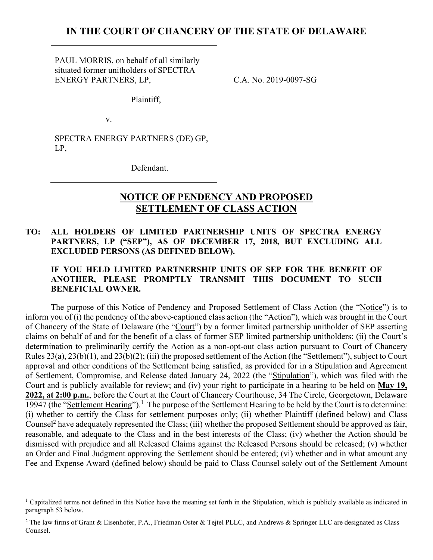## **IN THE COURT OF CHANCERY OF THE STATE OF DELAWARE**

PAUL MORRIS, on behalf of all similarly situated former unitholders of SPECTRA ENERGY PARTNERS, LP,

Plaintiff,

v.

SPECTRA ENERGY PARTNERS (DE) GP, LP,

Defendant.

# **NOTICE OF PENDENCY AND PROPOSED SETTLEMENT OF CLASS ACTION**

### **TO: ALL HOLDERS OF LIMITED PARTNERSHIP UNITS OF SPECTRA ENERGY PARTNERS, LP ("SEP"), AS OF DECEMBER 17, 2018, BUT EXCLUDING ALL EXCLUDED PERSONS (AS DEFINED BELOW).**

### **IF YOU HELD LIMITED PARTNERSHIP UNITS OF SEP FOR THE BENEFIT OF ANOTHER, PLEASE PROMPTLY TRANSMIT THIS DOCUMENT TO SUCH BENEFICIAL OWNER.**

The purpose of this Notice of Pendency and Proposed Settlement of Class Action (the "Notice") is to inform you of (i) the pendency of the above-captioned class action (the "Action"), which was brought in the Court of Chancery of the State of Delaware (the "Court") by a former limited partnership unitholder of SEP asserting claims on behalf of and for the benefit of a class of former SEP limited partnership unitholders; (ii) the Court's determination to preliminarily certify the Action as a non-opt-out class action pursuant to Court of Chancery Rules 23(a), 23(b)(1), and 23(b)(2); (iii) the proposed settlement of the Action (the "Settlement"), subject to Court approval and other conditions of the Settlement being satisfied, as provided for in a Stipulation and Agreement of Settlement, Compromise, and Release dated January 24, 2022 (the "Stipulation"), which was filed with the Court and is publicly available for review; and (iv) your right to participate in a hearing to be held on **May 19, 2022, at 2:00 p.m.**, before the Court at the Court of Chancery Courthouse, 34 The Circle, Georgetown, Delaware 19947 (the "Settlement Hearing").<sup>1</sup> The purpose of the Settlement Hearing to be held by the Court is to determine: (i) whether to certify the Class for settlement purposes only; (ii) whether Plaintiff (defined below) and Class Counsel<sup>2</sup> have adequately represented the Class; (iii) whether the proposed Settlement should be approved as fair, reasonable, and adequate to the Class and in the best interests of the Class; (iv) whether the Action should be dismissed with prejudice and all Released Claims against the Released Persons should be released; (v) whether an Order and Final Judgment approving the Settlement should be entered; (vi) whether and in what amount any Fee and Expense Award (defined below) should be paid to Class Counsel solely out of the Settlement Amount

C.A. No. 2019-0097-SG

<sup>&</sup>lt;sup>1</sup> Capitalized terms not defined in this Notice have the meaning set forth in the Stipulation, which is publicly available as indicated in paragraph 53 below.

<sup>&</sup>lt;sup>2</sup> The law firms of Grant & Eisenhofer, P.A., Friedman Oster & Tejtel PLLC, and Andrews & Springer LLC are designated as Class Counsel.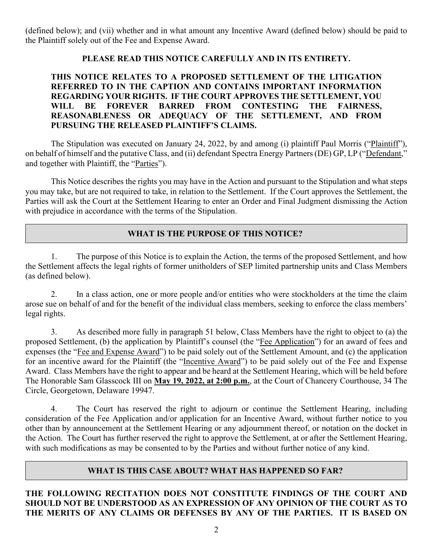(defined below); and (vii) whether and in what amount any Incentive Award (defined below) should be paid to the Plaintiff solely out of the Fee and Expense Award.

### **PLEASE READ THIS NOTICE CAREFULLY AND IN ITS ENTIRETY.**

### **THIS NOTICE RELATES TO A PROPOSED SETTLEMENT OF THE LITIGATION REFERRED TO IN THE CAPTION AND CONTAINS IMPORTANT INFORMATION REGARDING YOUR RIGHTS. IF THE COURT APPROVES THE SETTLEMENT, YOU WILL BE FOREVER BARRED FROM CONTESTING THE FAIRNESS, REASONABLENESS OR ADEQUACY OF THE SETTLEMENT, AND FROM PURSUING THE RELEASED PLAINTIFF'S CLAIMS.**

The Stipulation was executed on January 24, 2022, by and among (i) plaintiff Paul Morris ("Plaintiff"), on behalf of himself and the putative Class, and (ii) defendant Spectra Energy Partners (DE) GP, LP ("Defendant," and together with Plaintiff, the "Parties").

This Notice describes the rights you may have in the Action and pursuant to the Stipulation and what steps you may take, but are not required to take, in relation to the Settlement. If the Court approves the Settlement, the Parties will ask the Court at the Settlement Hearing to enter an Order and Final Judgment dismissing the Action with prejudice in accordance with the terms of the Stipulation.

### **WHAT IS THE PURPOSE OF THIS NOTICE?**

1. The purpose of this Notice is to explain the Action, the terms of the proposed Settlement, and how the Settlement affects the legal rights of former unitholders of SEP limited partnership units and Class Members (as defined below).

2. In a class action, one or more people and/or entities who were stockholders at the time the claim arose sue on behalf of and for the benefit of the individual class members, seeking to enforce the class members' legal rights.

3. As described more fully in paragraph 51 below, Class Members have the right to object to (a) the proposed Settlement, (b) the application by Plaintiff's counsel (the "Fee Application") for an award of fees and expenses (the "Fee and Expense Award") to be paid solely out of the Settlement Amount, and (c) the application for an incentive award for the Plaintiff (the "Incentive Award") to be paid solely out of the Fee and Expense Award. Class Members have the right to appear and be heard at the Settlement Hearing, which will be held before The Honorable Sam Glasscock III on **May 19, 2022, at 2:00 p.m.**, at the Court of Chancery Courthouse, 34 The Circle, Georgetown, Delaware 19947.

4. The Court has reserved the right to adjourn or continue the Settlement Hearing, including consideration of the Fee Application and/or application for an Incentive Award, without further notice to you other than by announcement at the Settlement Hearing or any adjournment thereof, or notation on the docket in the Action. The Court has further reserved the right to approve the Settlement, at or after the Settlement Hearing, with such modifications as may be consented to by the Parties and without further notice of any kind.

### **WHAT IS THIS CASE ABOUT? WHAT HAS HAPPENED SO FAR?**

### **THE FOLLOWING RECITATION DOES NOT CONSTITUTE FINDINGS OF THE COURT AND SHOULD NOT BE UNDERSTOOD AS AN EXPRESSION OF ANY OPINION OF THE COURT AS TO THE MERITS OF ANY CLAIMS OR DEFENSES BY ANY OF THE PARTIES. IT IS BASED ON**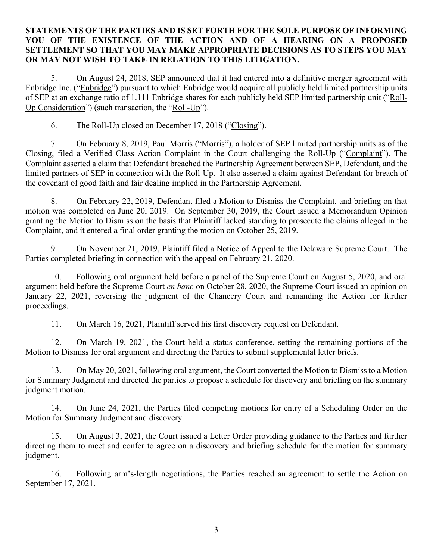#### **STATEMENTS OF THE PARTIES AND IS SET FORTH FOR THE SOLE PURPOSE OF INFORMING YOU OF THE EXISTENCE OF THE ACTION AND OF A HEARING ON A PROPOSED SETTLEMENT SO THAT YOU MAY MAKE APPROPRIATE DECISIONS AS TO STEPS YOU MAY OR MAY NOT WISH TO TAKE IN RELATION TO THIS LITIGATION.**

5. On August 24, 2018, SEP announced that it had entered into a definitive merger agreement with Enbridge Inc. ("Enbridge") pursuant to which Enbridge would acquire all publicly held limited partnership units of SEP at an exchange ratio of 1.111 Enbridge shares for each publicly held SEP limited partnership unit ("Roll-Up Consideration") (such transaction, the "Roll-Up").

6. The Roll-Up closed on December 17, 2018 ("Closing").

7. On February 8, 2019, Paul Morris ("Morris"), a holder of SEP limited partnership units as of the Closing, filed a Verified Class Action Complaint in the Court challenging the Roll-Up ("Complaint"). The Complaint asserted a claim that Defendant breached the Partnership Agreement between SEP, Defendant, and the limited partners of SEP in connection with the Roll-Up. It also asserted a claim against Defendant for breach of the covenant of good faith and fair dealing implied in the Partnership Agreement.

8. On February 22, 2019, Defendant filed a Motion to Dismiss the Complaint, and briefing on that motion was completed on June 20, 2019. On September 30, 2019, the Court issued a Memorandum Opinion granting the Motion to Dismiss on the basis that Plaintiff lacked standing to prosecute the claims alleged in the Complaint, and it entered a final order granting the motion on October 25, 2019.

9. On November 21, 2019, Plaintiff filed a Notice of Appeal to the Delaware Supreme Court. The Parties completed briefing in connection with the appeal on February 21, 2020.

10. Following oral argument held before a panel of the Supreme Court on August 5, 2020, and oral argument held before the Supreme Court *en banc* on October 28, 2020, the Supreme Court issued an opinion on January 22, 2021, reversing the judgment of the Chancery Court and remanding the Action for further proceedings.

11. On March 16, 2021, Plaintiff served his first discovery request on Defendant.

12. On March 19, 2021, the Court held a status conference, setting the remaining portions of the Motion to Dismiss for oral argument and directing the Parties to submit supplemental letter briefs.

13. On May 20, 2021, following oral argument, the Court converted the Motion to Dismiss to a Motion for Summary Judgment and directed the parties to propose a schedule for discovery and briefing on the summary judgment motion.

14. On June 24, 2021, the Parties filed competing motions for entry of a Scheduling Order on the Motion for Summary Judgment and discovery.

15. On August 3, 2021, the Court issued a Letter Order providing guidance to the Parties and further directing them to meet and confer to agree on a discovery and briefing schedule for the motion for summary judgment.

16. Following arm's-length negotiations, the Parties reached an agreement to settle the Action on September 17, 2021.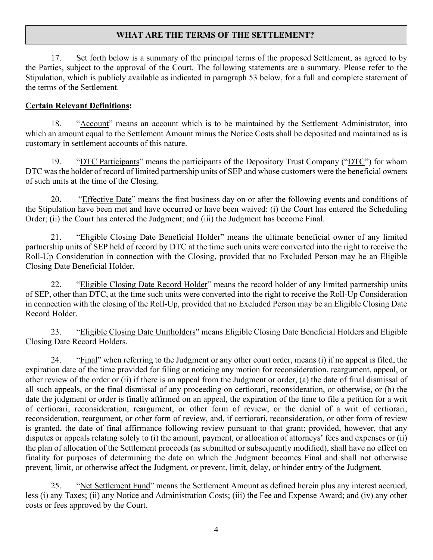### **WHAT ARE THE TERMS OF THE SETTLEMENT?**

17. Set forth below is a summary of the principal terms of the proposed Settlement, as agreed to by the Parties, subject to the approval of the Court. The following statements are a summary. Please refer to the Stipulation, which is publicly available as indicated in paragraph 53 below, for a full and complete statement of the terms of the Settlement.

#### **Certain Relevant Definitions:**

18. "Account" means an account which is to be maintained by the Settlement Administrator, into which an amount equal to the Settlement Amount minus the Notice Costs shall be deposited and maintained as is customary in settlement accounts of this nature.

19. "DTC Participants" means the participants of the Depository Trust Company ("DTC") for whom DTC was the holder of record of limited partnership units of SEP and whose customers were the beneficial owners of such units at the time of the Closing.

20. "Effective Date" means the first business day on or after the following events and conditions of the Stipulation have been met and have occurred or have been waived: (i) the Court has entered the Scheduling Order; (ii) the Court has entered the Judgment; and (iii) the Judgment has become Final.

21. "Eligible Closing Date Beneficial Holder" means the ultimate beneficial owner of any limited partnership units of SEP held of record by DTC at the time such units were converted into the right to receive the Roll-Up Consideration in connection with the Closing, provided that no Excluded Person may be an Eligible Closing Date Beneficial Holder.

22. "Eligible Closing Date Record Holder" means the record holder of any limited partnership units of SEP, other than DTC, at the time such units were converted into the right to receive the Roll-Up Consideration in connection with the closing of the Roll-Up, provided that no Excluded Person may be an Eligible Closing Date Record Holder.

23. "Eligible Closing Date Unitholders" means Eligible Closing Date Beneficial Holders and Eligible Closing Date Record Holders.

24. "Final" when referring to the Judgment or any other court order, means (i) if no appeal is filed, the expiration date of the time provided for filing or noticing any motion for reconsideration, reargument, appeal, or other review of the order or (ii) if there is an appeal from the Judgment or order, (a) the date of final dismissal of all such appeals, or the final dismissal of any proceeding on certiorari, reconsideration, or otherwise, or (b) the date the judgment or order is finally affirmed on an appeal, the expiration of the time to file a petition for a writ of certiorari, reconsideration, reargument, or other form of review, or the denial of a writ of certiorari, reconsideration, reargument, or other form of review, and, if certiorari, reconsideration, or other form of review is granted, the date of final affirmance following review pursuant to that grant; provided, however, that any disputes or appeals relating solely to (i) the amount, payment, or allocation of attorneys' fees and expenses or (ii) the plan of allocation of the Settlement proceeds (as submitted or subsequently modified), shall have no effect on finality for purposes of determining the date on which the Judgment becomes Final and shall not otherwise prevent, limit, or otherwise affect the Judgment, or prevent, limit, delay, or hinder entry of the Judgment.

25. "Net Settlement Fund" means the Settlement Amount as defined herein plus any interest accrued, less (i) any Taxes; (ii) any Notice and Administration Costs; (iii) the Fee and Expense Award; and (iv) any other costs or fees approved by the Court.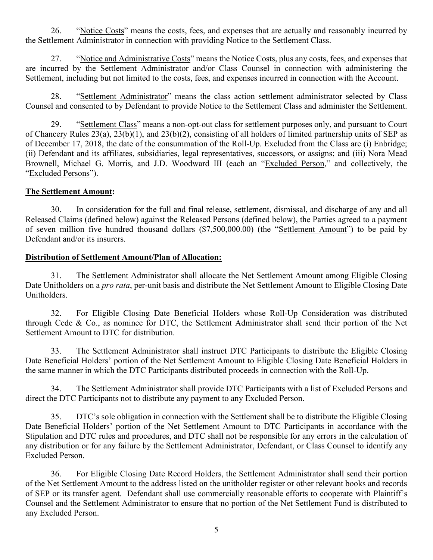26. "Notice Costs" means the costs, fees, and expenses that are actually and reasonably incurred by the Settlement Administrator in connection with providing Notice to the Settlement Class.

27. "Notice and Administrative Costs" means the Notice Costs, plus any costs, fees, and expenses that are incurred by the Settlement Administrator and/or Class Counsel in connection with administering the Settlement, including but not limited to the costs, fees, and expenses incurred in connection with the Account.

28. "Settlement Administrator" means the class action settlement administrator selected by Class Counsel and consented to by Defendant to provide Notice to the Settlement Class and administer the Settlement.

29. "Settlement Class" means a non-opt-out class for settlement purposes only, and pursuant to Court of Chancery Rules 23(a), 23(b)(1), and 23(b)(2), consisting of all holders of limited partnership units of SEP as of December 17, 2018, the date of the consummation of the Roll-Up. Excluded from the Class are (i) Enbridge; (ii) Defendant and its affiliates, subsidiaries, legal representatives, successors, or assigns; and (iii) Nora Mead Brownell, Michael G. Morris, and J.D. Woodward III (each an "Excluded Person," and collectively, the "Excluded Persons").

#### **The Settlement Amount:**

30. In consideration for the full and final release, settlement, dismissal, and discharge of any and all Released Claims (defined below) against the Released Persons (defined below), the Parties agreed to a payment of seven million five hundred thousand dollars (\$7,500,000.00) (the "Settlement Amount") to be paid by Defendant and/or its insurers.

#### **Distribution of Settlement Amount/Plan of Allocation:**

31. The Settlement Administrator shall allocate the Net Settlement Amount among Eligible Closing Date Unitholders on a *pro rata*, per-unit basis and distribute the Net Settlement Amount to Eligible Closing Date Unitholders.

32. For Eligible Closing Date Beneficial Holders whose Roll-Up Consideration was distributed through Cede & Co., as nominee for DTC, the Settlement Administrator shall send their portion of the Net Settlement Amount to DTC for distribution.

33. The Settlement Administrator shall instruct DTC Participants to distribute the Eligible Closing Date Beneficial Holders' portion of the Net Settlement Amount to Eligible Closing Date Beneficial Holders in the same manner in which the DTC Participants distributed proceeds in connection with the Roll-Up.

34. The Settlement Administrator shall provide DTC Participants with a list of Excluded Persons and direct the DTC Participants not to distribute any payment to any Excluded Person.

35. DTC's sole obligation in connection with the Settlement shall be to distribute the Eligible Closing Date Beneficial Holders' portion of the Net Settlement Amount to DTC Participants in accordance with the Stipulation and DTC rules and procedures, and DTC shall not be responsible for any errors in the calculation of any distribution or for any failure by the Settlement Administrator, Defendant, or Class Counsel to identify any Excluded Person.

36. For Eligible Closing Date Record Holders, the Settlement Administrator shall send their portion of the Net Settlement Amount to the address listed on the unitholder register or other relevant books and records of SEP or its transfer agent. Defendant shall use commercially reasonable efforts to cooperate with Plaintiff's Counsel and the Settlement Administrator to ensure that no portion of the Net Settlement Fund is distributed to any Excluded Person.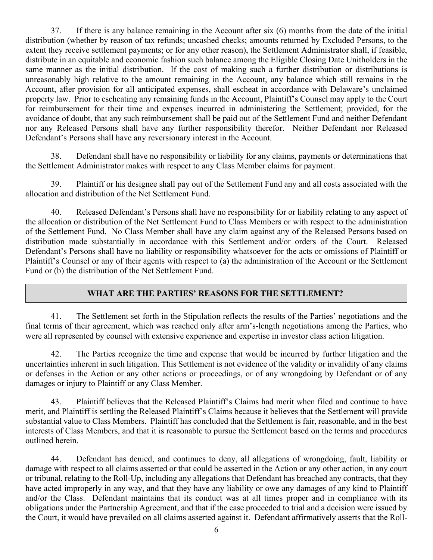37. If there is any balance remaining in the Account after six (6) months from the date of the initial distribution (whether by reason of tax refunds; uncashed checks; amounts returned by Excluded Persons, to the extent they receive settlement payments; or for any other reason), the Settlement Administrator shall, if feasible, distribute in an equitable and economic fashion such balance among the Eligible Closing Date Unitholders in the same manner as the initial distribution. If the cost of making such a further distribution or distributions is unreasonably high relative to the amount remaining in the Account, any balance which still remains in the Account, after provision for all anticipated expenses, shall escheat in accordance with Delaware's unclaimed property law. Prior to escheating any remaining funds in the Account, Plaintiff's Counsel may apply to the Court for reimbursement for their time and expenses incurred in administering the Settlement; provided, for the avoidance of doubt, that any such reimbursement shall be paid out of the Settlement Fund and neither Defendant nor any Released Persons shall have any further responsibility therefor. Neither Defendant nor Released Defendant's Persons shall have any reversionary interest in the Account.

38. Defendant shall have no responsibility or liability for any claims, payments or determinations that the Settlement Administrator makes with respect to any Class Member claims for payment.

39. Plaintiff or his designee shall pay out of the Settlement Fund any and all costs associated with the allocation and distribution of the Net Settlement Fund.

40. Released Defendant's Persons shall have no responsibility for or liability relating to any aspect of the allocation or distribution of the Net Settlement Fund to Class Members or with respect to the administration of the Settlement Fund. No Class Member shall have any claim against any of the Released Persons based on distribution made substantially in accordance with this Settlement and/or orders of the Court. Released Defendant's Persons shall have no liability or responsibility whatsoever for the acts or omissions of Plaintiff or Plaintiff's Counsel or any of their agents with respect to (a) the administration of the Account or the Settlement Fund or (b) the distribution of the Net Settlement Fund.

### **WHAT ARE THE PARTIES' REASONS FOR THE SETTLEMENT?**

41. The Settlement set forth in the Stipulation reflects the results of the Parties' negotiations and the final terms of their agreement, which was reached only after arm's-length negotiations among the Parties, who were all represented by counsel with extensive experience and expertise in investor class action litigation.

42. The Parties recognize the time and expense that would be incurred by further litigation and the uncertainties inherent in such litigation. This Settlement is not evidence of the validity or invalidity of any claims or defenses in the Action or any other actions or proceedings, or of any wrongdoing by Defendant or of any damages or injury to Plaintiff or any Class Member.

43. Plaintiff believes that the Released Plaintiff's Claims had merit when filed and continue to have merit, and Plaintiff is settling the Released Plaintiff's Claims because it believes that the Settlement will provide substantial value to Class Members. Plaintiff has concluded that the Settlement is fair, reasonable, and in the best interests of Class Members, and that it is reasonable to pursue the Settlement based on the terms and procedures outlined herein.

44. Defendant has denied, and continues to deny, all allegations of wrongdoing, fault, liability or damage with respect to all claims asserted or that could be asserted in the Action or any other action, in any court or tribunal, relating to the Roll-Up, including any allegations that Defendant has breached any contracts, that they have acted improperly in any way, and that they have any liability or owe any damages of any kind to Plaintiff and/or the Class. Defendant maintains that its conduct was at all times proper and in compliance with its obligations under the Partnership Agreement, and that if the case proceeded to trial and a decision were issued by the Court, it would have prevailed on all claims asserted against it. Defendant affirmatively asserts that the Roll-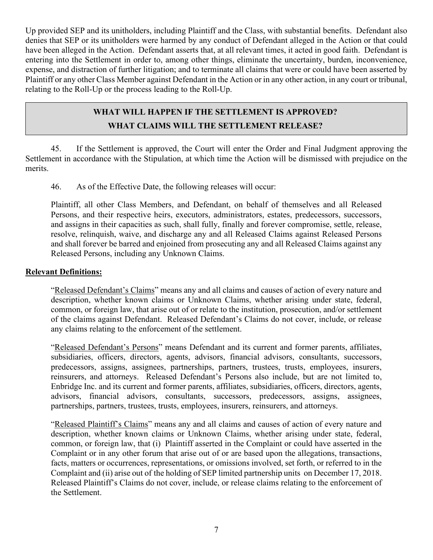Up provided SEP and its unitholders, including Plaintiff and the Class, with substantial benefits. Defendant also denies that SEP or its unitholders were harmed by any conduct of Defendant alleged in the Action or that could have been alleged in the Action. Defendant asserts that, at all relevant times, it acted in good faith. Defendant is entering into the Settlement in order to, among other things, eliminate the uncertainty, burden, inconvenience, expense, and distraction of further litigation; and to terminate all claims that were or could have been asserted by Plaintiff or any other Class Member against Defendant in the Action or in any other action, in any court or tribunal, relating to the Roll-Up or the process leading to the Roll-Up.

### **WHAT WILL HAPPEN IF THE SETTLEMENT IS APPROVED?**

### **WHAT CLAIMS WILL THE SETTLEMENT RELEASE?**

45. If the Settlement is approved, the Court will enter the Order and Final Judgment approving the Settlement in accordance with the Stipulation, at which time the Action will be dismissed with prejudice on the merits.

46. As of the Effective Date, the following releases will occur:

Plaintiff, all other Class Members, and Defendant, on behalf of themselves and all Released Persons, and their respective heirs, executors, administrators, estates, predecessors, successors, and assigns in their capacities as such, shall fully, finally and forever compromise, settle, release, resolve, relinquish, waive, and discharge any and all Released Claims against Released Persons and shall forever be barred and enjoined from prosecuting any and all Released Claims against any Released Persons, including any Unknown Claims.

### **Relevant Definitions:**

"Released Defendant's Claims" means any and all claims and causes of action of every nature and description, whether known claims or Unknown Claims, whether arising under state, federal, common, or foreign law, that arise out of or relate to the institution, prosecution, and/or settlement of the claims against Defendant. Released Defendant's Claims do not cover, include, or release any claims relating to the enforcement of the settlement.

"Released Defendant's Persons" means Defendant and its current and former parents, affiliates, subsidiaries, officers, directors, agents, advisors, financial advisors, consultants, successors, predecessors, assigns, assignees, partnerships, partners, trustees, trusts, employees, insurers, reinsurers, and attorneys. Released Defendant's Persons also include, but are not limited to, Enbridge Inc. and its current and former parents, affiliates, subsidiaries, officers, directors, agents, advisors, financial advisors, consultants, successors, predecessors, assigns, assignees, partnerships, partners, trustees, trusts, employees, insurers, reinsurers, and attorneys.

"Released Plaintiff's Claims" means any and all claims and causes of action of every nature and description, whether known claims or Unknown Claims, whether arising under state, federal, common, or foreign law, that (i) Plaintiff asserted in the Complaint or could have asserted in the Complaint or in any other forum that arise out of or are based upon the allegations, transactions, facts, matters or occurrences, representations, or omissions involved, set forth, or referred to in the Complaint and (ii) arise out of the holding of SEP limited partnership units on December 17, 2018. Released Plaintiff's Claims do not cover, include, or release claims relating to the enforcement of the Settlement.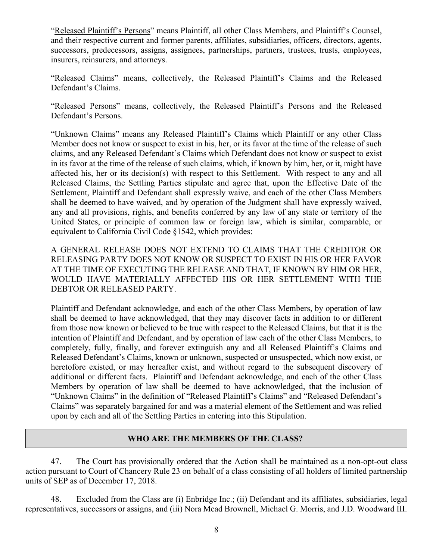"Released Plaintiff's Persons" means Plaintiff, all other Class Members, and Plaintiff's Counsel, and their respective current and former parents, affiliates, subsidiaries, officers, directors, agents, successors, predecessors, assigns, assignees, partnerships, partners, trustees, trusts, employees, insurers, reinsurers, and attorneys.

"Released Claims" means, collectively, the Released Plaintiff's Claims and the Released Defendant's Claims.

"Released Persons" means, collectively, the Released Plaintiff's Persons and the Released Defendant's Persons.

"Unknown Claims" means any Released Plaintiff's Claims which Plaintiff or any other Class Member does not know or suspect to exist in his, her, or its favor at the time of the release of such claims, and any Released Defendant's Claims which Defendant does not know or suspect to exist in its favor at the time of the release of such claims, which, if known by him, her, or it, might have affected his, her or its decision(s) with respect to this Settlement. With respect to any and all Released Claims, the Settling Parties stipulate and agree that, upon the Effective Date of the Settlement, Plaintiff and Defendant shall expressly waive, and each of the other Class Members shall be deemed to have waived, and by operation of the Judgment shall have expressly waived, any and all provisions, rights, and benefits conferred by any law of any state or territory of the United States, or principle of common law or foreign law, which is similar, comparable, or equivalent to California Civil Code §1542, which provides:

A GENERAL RELEASE DOES NOT EXTEND TO CLAIMS THAT THE CREDITOR OR RELEASING PARTY DOES NOT KNOW OR SUSPECT TO EXIST IN HIS OR HER FAVOR AT THE TIME OF EXECUTING THE RELEASE AND THAT, IF KNOWN BY HIM OR HER, WOULD HAVE MATERIALLY AFFECTED HIS OR HER SETTLEMENT WITH THE DEBTOR OR RELEASED PARTY.

Plaintiff and Defendant acknowledge, and each of the other Class Members, by operation of law shall be deemed to have acknowledged, that they may discover facts in addition to or different from those now known or believed to be true with respect to the Released Claims, but that it is the intention of Plaintiff and Defendant, and by operation of law each of the other Class Members, to completely, fully, finally, and forever extinguish any and all Released Plaintiff's Claims and Released Defendant's Claims, known or unknown, suspected or unsuspected, which now exist, or heretofore existed, or may hereafter exist, and without regard to the subsequent discovery of additional or different facts. Plaintiff and Defendant acknowledge, and each of the other Class Members by operation of law shall be deemed to have acknowledged, that the inclusion of "Unknown Claims" in the definition of "Released Plaintiff's Claims" and "Released Defendant's Claims" was separately bargained for and was a material element of the Settlement and was relied upon by each and all of the Settling Parties in entering into this Stipulation.

#### **WHO ARE THE MEMBERS OF THE CLASS?**

47. The Court has provisionally ordered that the Action shall be maintained as a non-opt-out class action pursuant to Court of Chancery Rule 23 on behalf of a class consisting of all holders of limited partnership units of SEP as of December 17, 2018.

48. Excluded from the Class are (i) Enbridge Inc.; (ii) Defendant and its affiliates, subsidiaries, legal representatives, successors or assigns, and (iii) Nora Mead Brownell, Michael G. Morris, and J.D. Woodward III.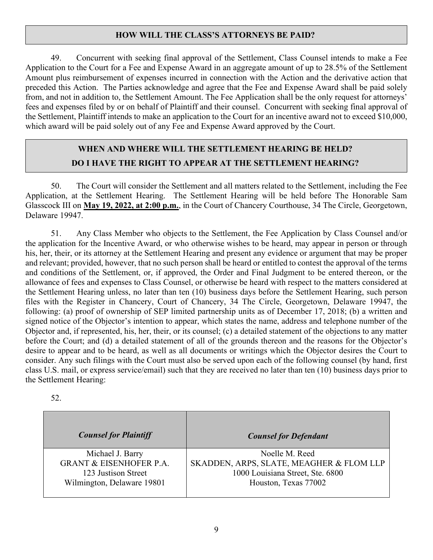### **HOW WILL THE CLASS'S ATTORNEYS BE PAID?**

49. Concurrent with seeking final approval of the Settlement, Class Counsel intends to make a Fee Application to the Court for a Fee and Expense Award in an aggregate amount of up to 28.5% of the Settlement Amount plus reimbursement of expenses incurred in connection with the Action and the derivative action that preceded this Action. The Parties acknowledge and agree that the Fee and Expense Award shall be paid solely from, and not in addition to, the Settlement Amount. The Fee Application shall be the only request for attorneys' fees and expenses filed by or on behalf of Plaintiff and their counsel. Concurrent with seeking final approval of the Settlement, Plaintiff intends to make an application to the Court for an incentive award not to exceed \$10,000, which award will be paid solely out of any Fee and Expense Award approved by the Court.

# **WHEN AND WHERE WILL THE SETTLEMENT HEARING BE HELD? DO I HAVE THE RIGHT TO APPEAR AT THE SETTLEMENT HEARING?**

50. The Court will consider the Settlement and all matters related to the Settlement, including the Fee Application, at the Settlement Hearing. The Settlement Hearing will be held before The Honorable Sam Glasscock III on **May 19, 2022, at 2:00 p.m.**, in the Court of Chancery Courthouse, 34 The Circle, Georgetown, Delaware 19947.

51. Any Class Member who objects to the Settlement, the Fee Application by Class Counsel and/or the application for the Incentive Award, or who otherwise wishes to be heard, may appear in person or through his, her, their, or its attorney at the Settlement Hearing and present any evidence or argument that may be proper and relevant; provided, however, that no such person shall be heard or entitled to contest the approval of the terms and conditions of the Settlement, or, if approved, the Order and Final Judgment to be entered thereon, or the allowance of fees and expenses to Class Counsel, or otherwise be heard with respect to the matters considered at the Settlement Hearing unless, no later than ten (10) business days before the Settlement Hearing, such person files with the Register in Chancery, Court of Chancery, 34 The Circle, Georgetown, Delaware 19947, the following: (a) proof of ownership of SEP limited partnership units as of December 17, 2018; (b) a written and signed notice of the Objector's intention to appear, which states the name, address and telephone number of the Objector and, if represented, his, her, their, or its counsel; (c) a detailed statement of the objections to any matter before the Court; and (d) a detailed statement of all of the grounds thereon and the reasons for the Objector's desire to appear and to be heard, as well as all documents or writings which the Objector desires the Court to consider. Any such filings with the Court must also be served upon each of the following counsel (by hand, first class U.S. mail, or express service/email) such that they are received no later than ten (10) business days prior to the Settlement Hearing:

| <b>Counsel for Plaintiff</b>       | <b>Counsel for Defendant</b>             |
|------------------------------------|------------------------------------------|
| Michael J. Barry                   | Noelle M. Reed                           |
| <b>GRANT &amp; EISENHOFER P.A.</b> | SKADDEN, ARPS, SLATE, MEAGHER & FLOM LLP |
| 123 Justison Street                | 1000 Louisiana Street, Ste. 6800         |
| Wilmington, Delaware 19801         | Houston, Texas 77002                     |

52.